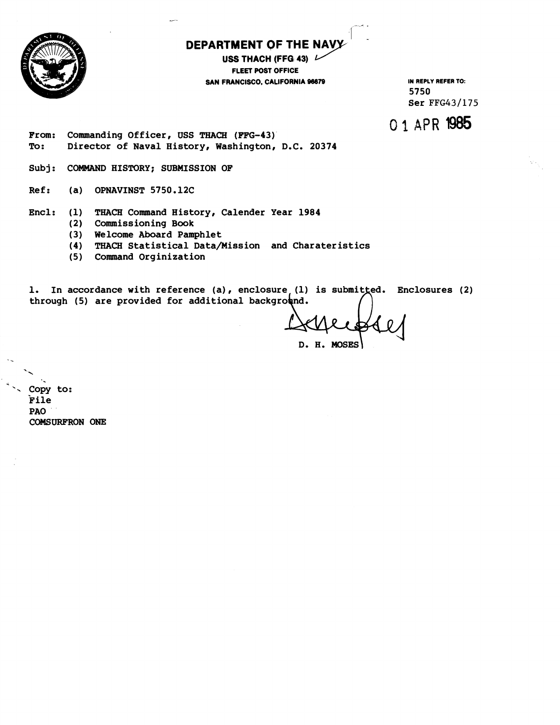

# **DEPARTMENT QF THE**

**USS THACH (FFG 43) FLEET POST OFFICE SAN FRANCISCO, CALIFORNIA 96679 IN REPLY REFER TO:** 

**5750 Ser FFG431175** 

0 1 **APR 1485** 

**From: Commanding Officer, USS THACH (FFG-43)' To: Director of Naval History, Washington, D.C. 20374** 

**Subj: COMMAND HISTORY; SUBMISSION OF** 

**Ref: (a) OPNAVINST 5750.12C** 

**Encl: (1) THACH Command History, Calender Year 1984** 

- **(2) Commissioning Book**
- **3 Welcome Aboard Pamphlet**
- **(4) THACH Statistical Datamission and Charateristics**
- **(5) Command Orginization**

1. In accordance with reference (a), enclosure<sub>,</sub> (1) is submitted. Enclosures (2) through (5) are provided for additional background.

D. H. MOSES

'. **Copy to: Pile PA0 COMSURE'RON ONE**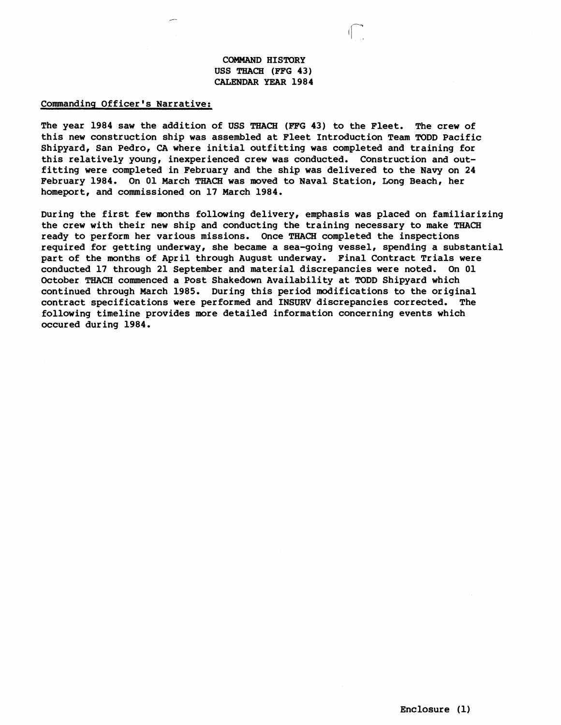# **COMMAND HISTORY USS THACH (FFG 43) CAIZNDAR** YEAR **1984**

#### **Commanding Officer's Narrative:**

**The year 1984 saw the addition of USS THACH (FPG 43) to the Fleet. The crew of this new construction ship was assembled at FLeet Introduction Team TODD Pacific Shipyard, San Pedro, CA where initial outfitting was completed and training for this relatively young, inexperienced crew was conducted. Construction and outfitting were completed in February and the ship was delivered to the Navy on 24 February 1984. On 01 March THACH was moved to Naval Station, Long Beach, her homeport, and commissioned on 17 March 1984.** 

**During the first few months following delivery, emphasis was placed on familiarizing the crew with their new ship and conducting the training necessary to make THACH ready to perform her various missions. Once TfHACH completed the inspections required for getting underway, she became a sea-going vessel, spending a substantial part of the months of April through August underway. Final Contract Trials were conducted 17 through 21 September and material discrepancies were noted. On 01 October THACH commenced a Post Shakedown Availability at TODD Shipyard which continued through March 1985. During this period modifications to the original contract specifications were performed and INBURV discrepancies corrected. The following timeline provides more detailed information concerning events which occured during 1984.**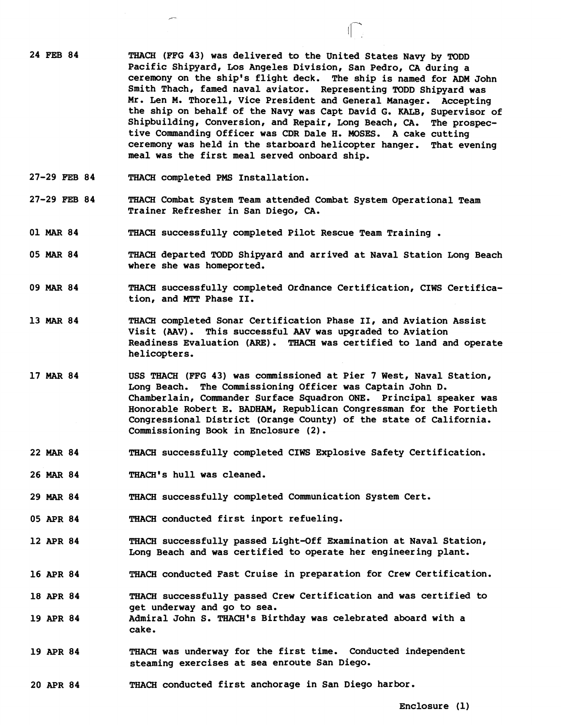- **24 FEB 84 THACH (FFG 43) was delivered to the United States Navy by TODD Pacific Shipyard, Los Angeles Division, San Pedro, CA during a ceremony on the ship's flight deck. The ship is named for ADM John**  Smith Thach, famed naval aviator. Representing TODD Shipyard was **Mr. Len M, Thorell, Vice President and General Manager. Accepting the ship on behalf of the Navy was Capt David G. KALB, Supervisor of Shipbuilding, Conversion, and Repair, Long Beach, CA. The prospective Commanding Officer was CDR Dale H. MOSES. A cake cutting ceremony was held in the starboard helicopter hanger. That evening meal was the first meal served onboard ship.**
- **27-29 FEB 84 THACH completed PMS Installation.**
- **27-29 FEB 84 THACH Combat System Team attended Combat System Operational Team Trainer Refresher in San Diego, CA.**
- **01 MAR 84 THACH successfully completed Pilot Rescue Team Training** .
- **05 MAR 84 THACH departed TODD Shipyard and arrived at Naval Station Long Beach where she was homeported.**
- **09 MAR 84 THACH successfully completed Ordnance Certification, CIWS Certification, and MTT Phase 11.**
- 13 MAR 84 **THACH** completed Sonar Certification Phase II, and Aviation Assist **Visit (AAV). This successful AAV was upgraded to Aviation**  Readiness Evaluation (ARE). THACH was certified to land and operate **helicopters.**
- **17 MAR 84 USS THACH (FFG 43) was commisaioned at Pier 7 West, Naval Station, Long Beach. The Commissioning Officer was Captain John D, Chamberlain, Commander Surface Squadron ONE. Principal speaker was Honorable Robert E. BADHAM, Republican Congressman for the Fortieth Congressional District (Orange County) of the state of California, Commissioning Book in Enclosure (2).**
- **22 MAR 84 THACH successfully completed CIWS Explosive Safety Certification.**
- **26 MAR 84 THACH's hull was cleaned.**
- **29 MAR 84 THACH successfully completed Communication System Cert.**
- **05 APR 84 THACH conducted first inport refueling.**
- **12 APR 84 THACH successfully passed Light-Off Examination at Naval Station, Long Beach and was certified to operate her engineering plant.**
- **16 APR 84 THACH conducted Fast Cruise in preparation for Crew Certification.**
- **18 APR 84 THACH successfully passed Crew Certification and was certified to get underway and go to sea.**
- **19 APR 84 Admiral John S. THACH's Birthday was celebrated aboard with a cake.**
- **19 APR 84 THACH was underway for the first time. Conducted independent steaming exercises at sea enrqute San Diego.**
- **20 APR 84 THACH conducted first anchorage in San Diego harbor.**

**Enclosure (1)**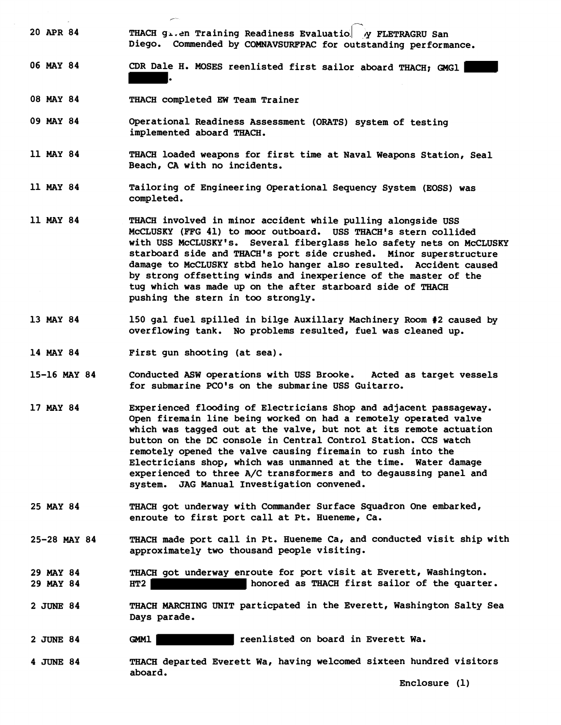- 20 APR 84 **THACH g**<sub>1</sub>.en Training Readiness Evaluatio. *N* FLETRAGRU San **Diego. Commended by COMNAVSURFPAC for outstanding performance.**
- **06 MAY 84 CDR Dale H. MOSES reenlisted first sailor aboard THACH; GMGl**  .
- **08 MAY 84 THACH completed EW Team Trainer**

**F** 

- **09 MAY 84 Operational Readiness Assessment (ORATS) system of testing implemented aboard THACH.**
- **11 MAY 84 THACH loaded weapons for first time at Naval Weapons Station, Seal Beach, CA with no incidents.**
- **11 MAY 84 Tailoring of Engineering Operational Sequency System (EOSS) was completed.**
- **11 MAY 84 THACH involved in minor accident while pulling alongside USS**  McCLUSKY (FFG 41) to moor outboard. USS THACH's stern collided with USS McCLUSKY's. Several fiberglass helo safety nets on McCLUSKY **starboard side and THACH's port side crushed. Minor superstructure damage to McCLUSKY stbd helo hanger also resulted. Accident caused by strong offsetting winds and inexperience of the master of the tug which was made up on the after starboard side of THACH pushing the stern in too strongly.**
- **13 MAY 84 150 gal fuel spilled in bilge Auxillary Machinery Room #2 caused by**  overflowing tank. No problems resulted, fuel was cleaned up.
- **14 MAY 84 First gun shooting (at sea).**
- **15-16 MAY 84 Conducted ASW operations with USS Brooke. Acted as target vessels for submarine PCO's on the submarine USS Guitarro.**
- **17 MAY 84 Experienced flooding of Electricians Shop and adjacent passageway. Open firemain line being worked on had a remotely operated valve which was tagged out at the vqlve, but not at its remote actuation**  button on the DC console in Central Control Station. CCS watch **remotely opened the valve cawing firemain to rush into the Electricians shop, which was unmanned at the time. Water damage experienced to three A/C transformers and to degaussing panel and system. JAG Manual Investigation convened.**
- **25 MAY 84 THACH got underway with Commander Surface Squadron One embarked, enroute to first port call at Pt. Hueneme, Ca.**
- **25-28 MAY 84 THACH made port call in Pt. Hueneme Ca, and conducted visit ship with approximately two thousand people visiting.**
- **29 MAY 84 29 MAY 84 THACH got underway enroute for port visit at Everett, Washington. HT2 honored as THACH first sailor of the quarter.**
- **2 JUNE 84 THACH MARCHING UNIT particpated in the Everett, Washington Salty Sea Days parade.**
- **2 JUNE 84 GMMl reenlisted on board in Everett Wa.**
- **4 JUNE 84 THACH departed Everett Wa, having welcomed sixteen hundred visitors aboard.**

**Enclosure (1)**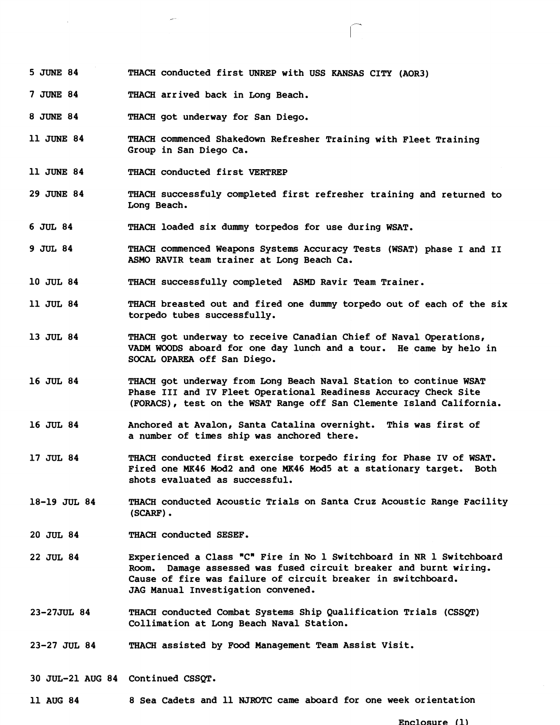- **5 JUNE 84 THACH conducted first UNREP with USS KANSAS CITY (AOR3)**
- **7 JUNE 84 THACH arrived back in Long Beach.**
- **8 JUNE 84 THACH got underway for San Diego.**
- **11 JUNE 84 THACH commenced Shakedown Refresher Training with Fleet Training Group in San Diego Ca.**
- **11 JUNE 84 THACH conducted first VERTREP**
- **29 JUNE 84 THACH successfuly completed first refresher training and returned to Long Beach.**
- **6 JUL 84 THACH loaded six dummy torpedos for use during WSAT.**
- **9 JUL 84 THACH commenced Weapons Systems Accuracy Tests (WSAT) phase I and I1 ASMO RAVIR team trainer at Long Beach Ca.**
- **10 JUL 84 THACH successfully completed MMD Ravir Team Trainer.**
- **11 JUL 84 THACH breasted out and fired one dummy torpedo out of each of the six torpedo tubes successfully.**
- **13 JUL 84 THACH got underway to receive Canadian Chief of Naval Operations, VADM WOODS aboard for one day lunch and a tour. He came by helo in SOCAL OPAREA off San Diego.**
- 16 JUL 84 THACH got underway from Long Beach Naval Station to continue WSAT **Phase I11 and IV Fleet Operational Readiness Accuracy Check Site (FORACS), test on the WSAT Range off San Clemente Island California.**
- 16 JUL 84 **Anchored at Avalon, Santa Catalina overnight.** This was first of **a number of times ship was anchored there.**
- **17 JUL 84 THACH conducted first exercise torpedo firing for Phase IV of WSAT. Fired one MK46 Mod2 and one ME46 Mod5 at a stationary target. Both shots evaluated as successful.**
- **18-19 JUL 84 THACH conducted Acoustic Trials on Santa Cruz Acoustic Range Facility (SCARF).**
- **20 JUL 84 THACH conducted SESEF.**
- 22 JUL 84 Experienced a Class "C" Fire in No 1 Switchboard in NR 1 Switchboard Room. Damage assessed was fused circuit breaker and burnt wiring. Cause of fire was failure of circuit breaker in switchboard. **JAG Manual Investigation convened.**
- **23-27JUL 84 THACH conducted Combat Systems Ship Qualification Trials (CSSQT) Collimation at Long Beach Naval Station.**
- **23-27 JUL 84 THACH assisted by Food Management Team Assist Visit.**
- **30 JUL-21 AUG 84 Continued CSSQT.**
- **11 AUG 84 8 Sea Cadets and 11 NJROTC came aboard for one week orientation**

**Enclosure** (1)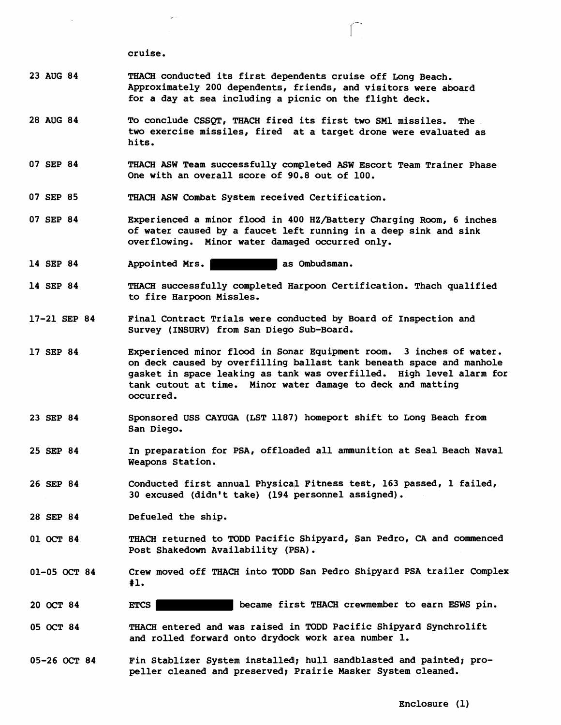**cruise,** 

- **23 AUG 84**  THACH **conducted its first dependents cruise off Long Beach, Approximately 200 dependents, friends, and visitors were aboard for a day at sea including a picnic on the flight deck.**
- **28 AUG 84 To conclude CSSQT, THACH fired its first two SM1 missiles. The two exercise missiles, fired at a target drone were evaluated as hits,**
- **07 SEP 84**  THACH **ASW Team successfully completed ASW Escort Team Trainer Phase One with an overall score of 90.8 out of 100.**
- **07 SEP 85**  THACH **ASW Combat System received Certification,**
- **07 SEP 84 Experienced a minor flood in 400 HZ/Battery Charging Room, 6 inches of water caused by a faucet left running in a deep sink and sink overflowing. Minor water damaged occurred only.**
- **14 SEP 84**  Appointed Mrs. **Appointed Mrs. as Ombudsman.**
- **14 SEP 84**  THACH **successfully completed Hiarpoon Certification. Thach qualified to fire Harpoon Missles,**
- **17-21 SEP 84 Final Contract Trials were conqucted by Board of Inspection and Survey (INSURV) from San Diego Sub-Board,**
- **17 SEP 84**  Experienced minor flood in Sonar Equipment room. 3 inches of water. **on deck caused by overfilling ballast tank beneath space and manhole gasket in space leaking as tank was overfilled. High level alarm for**  tank cutout at time. Minor water damage to deck and matting **occurred.**
- **23 SEP 84 Sponsored USS CAYUGA (LST 1187) homeport shift to Long Beach from San Diego.**
- **25 SEP 84 In preparation for PSA, offloaded all ammunition at Seal Beach Naval Weapons Station.**
- **26 SEP 84 Conducted first annual Physicall Fitness test, 163 passed, 1 failed, 30 excused (didn't take) (194 personnel assigned).**
- **28 SEP 84 Defueled the ship.**
- **01 OCT 84**  THACH **returned to TODD Pacific Shipyard, San Pedro, CA and commenced Post Shakedown Availability (PISA)** .
- **01-05 OCT 84 Crew moved off** THACH **into TODD San Pedro Shipyard PSA trailer Complex #lo**
- **20 OCT 84 ETCS became first THACH crewmember to earn ESWS pin.**
- **05 OCT 84**  THACH **entered and was raised in TODD Pacific Shipyard Synchrolift and rolled forward onto drydock work area number 1.**
- **05-26 OCT 84 Fin Stablizer System installed; hull sandblasted and painted; propeller cleaned and preserved; Prairie Masker System cleaned.**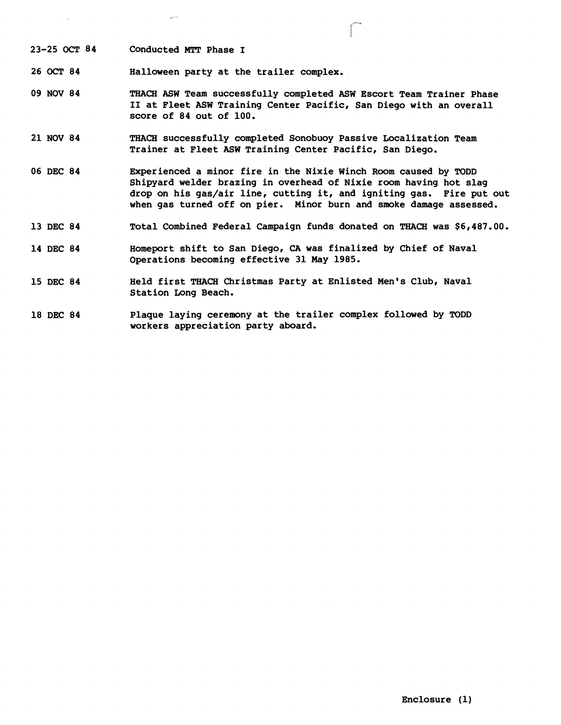**23-25 OCT 84 Conducted** MTT **Phase I** 

**26** OCT **84 Halloween party at the trailer complex.** 

-

**09 NOV 84**  THACH **ASW Team successfully cqmpleted ASW Escort Team Trainer Phase I1 at Fleet ASW Training Center Pacific, San Diego with an overall score of 84 out of 100.** 

 $\int_{0}^{\infty}$ 

- **21 NOV 84**  THACH **successfully completed Sonobuoy Passive Localization Team Trainer at Fleet ASW Training Center Pacific, San Diego.**
- **06 DEC 84 Experienced a minor fire in the Nixie Winch Room caused by TODD Shipyard welder brazing in overhead of Nixie room having hot slag drop on his gas/air line, cutting it, and igniting gas. Fire put out when gas turned off on pier. Minor burn and smoke damage assessed.**
- **13 DEC 84 Total Combined Federal Campaign funds donated on** THACH **was \$6,487.00.**
- **14 DEC 84 Homeport shift to San Diego, CA was finalized by Chief of Naval Operations becoming effective 31 May 1985.**
- **15 DEC 84 Held first** THACH **Christmas Party at Enlisted Men's Club, Naval Station Long Beach.**
- **18 DEC 84 Plaque laying ceremony at the trailer complex followed by TODD**  workers appreciation party aboard.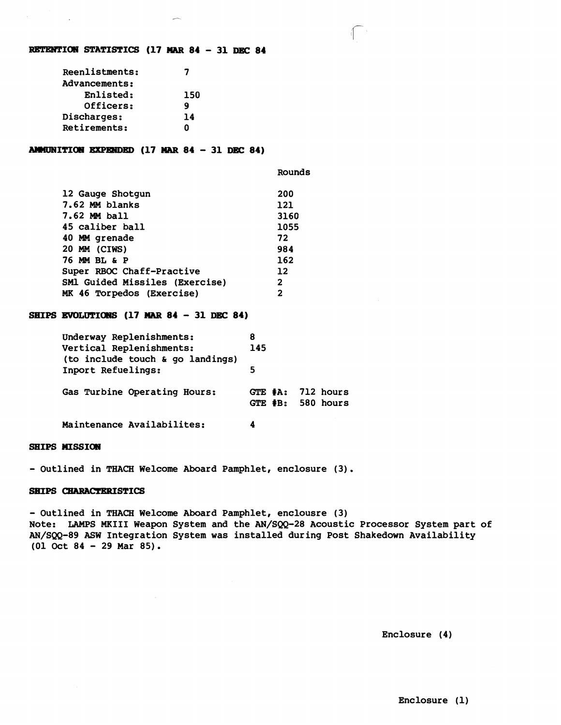#### **RETENTION STATISTICS (17 MAR 84 - 31 DEC 84**

| Reenlistments: |     |
|----------------|-----|
| Advancements:  |     |
| Enlisted:      | 150 |
| Officers:      | g   |
| Discharges:    | 14  |
| Retirements:   | Λ   |

#### AMMUNITION EXPENDED (17 MAR 84 - 31 DEC 84)

| 12 Gauge Shotgun                      | 200               |
|---------------------------------------|-------------------|
| 7.62 MM blanks                        | 121               |
| 7.62 MM ball                          | 3160              |
| 45 caliber ball                       | 1055              |
| 40 MM grenade                         | 72                |
| 20 MM (CIWS)                          | 984               |
| 76 MM BL & P                          | 162               |
| Super RBOC Chaff-Practive             | $12 \overline{ }$ |
| <b>SMl Guided Missiles (Exercise)</b> | $\mathbf{2}$      |
| MK 46 Torpedos (Exercise)             | $\mathbf{2}$      |
|                                       |                   |

### **SHIPS EVOLUTICRJS (17 MAR <sup>84</sup>**- **31 DEC 84)**

| Underway Replenishments:<br>Vertical Replenishments:<br>(to include touch & go landings) | 8<br>145 |                                            |
|------------------------------------------------------------------------------------------|----------|--------------------------------------------|
| Inport Refuelings:                                                                       | 5        |                                            |
| Gas Turbine Operating Hours:                                                             |          | GTE $#A: 712 hours$<br>GTE $#B: 580$ hours |
| Maintenance Availabilites:                                                               | 4        |                                            |

# **SHIPS HISSION**

- Outlined in THACH Welcome Aboard Pamphlet, enclosure (3).

#### **SHIPS CHARACTERISTICS**

- **Outlined in THACH Welcome Aboard Pamphlet, enqlousre (3) Note: LAMPS MKIII Weapon System and the AN/SQQ+28 Acoustic Processor System part of AN/SQQ-89 ASW Integration System was installed during Post Shakedown Availability (01 Oct 84** - **29 Mar 85).** 

Rounds

**Enclosure (4)**